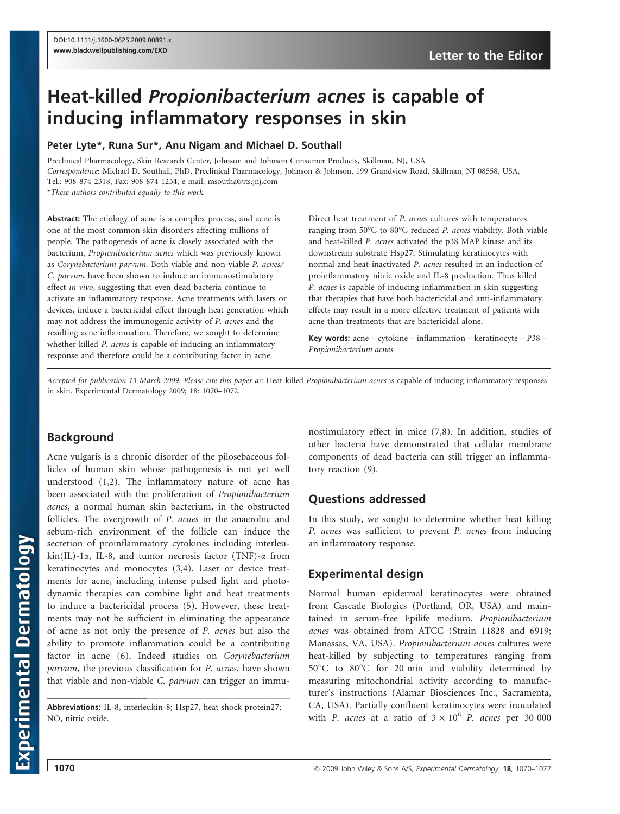# Heat-killed Propionibacterium acnes is capable of inducing inflammatory responses in skin

#### Peter Lyte\*, Runa Sur\*, Anu Nigam and Michael D. Southall

Preclinical Pharmacology, Skin Research Center, Johnson and Johnson Consumer Products, Skillman, NJ, USA *Correspondence*: Michael D. Southall, PhD, Preclinical Pharmacology, Johnson & Johnson, 199 Grandview Road, Skillman, NJ 08558, USA, Tel.: 908-874-2318, Fax: 908-874-1254, e-mail: msoutha@its.jnj.com

\**These authors contributed equally to this work.*

Abstract: The etiology of acne is a complex process, and acne is one of the most common skin disorders affecting millions of people. The pathogenesis of acne is closely associated with the bacterium, *Propionibacterium acnes* which was previously known as *Corynebacterium parvum.* Both viable and non-viable *P. acnes* ⁄ *C. parvum* have been shown to induce an immunostimulatory effect *in vivo*, suggesting that even dead bacteria continue to activate an inflammatory response. Acne treatments with lasers or devices, induce a bactericidal effect through heat generation which may not address the immunogenic activity of *P. acnes* and the resulting acne inflammation. Therefore, we sought to determine whether killed *P. acnes* is capable of inducing an inflammatory response and therefore could be a contributing factor in acne.

Direct heat treatment of *P. acnes* cultures with temperatures ranging from 50°C to 80°C reduced *P. acnes* viability. Both viable and heat-killed *P. acnes* activated the p38 MAP kinase and its downstream substrate Hsp27. Stimulating keratinocytes with normal and heat-inactivated *P. acnes* resulted in an induction of proinflammatory nitric oxide and IL-8 production. Thus killed *P. acnes* is capable of inducing inflammation in skin suggesting that therapies that have both bactericidal and anti-inflammatory effects may result in a more effective treatment of patients with acne than treatments that are bactericidal alone.

Key words: acne – cytokine – inflammation – keratinocyte – P38 – *Propionibacterium acnes*

*Accepted for publication 13 March 2009. Please cite this paper as:* Heat-killed *Propionibacterium acnes* is capable of inducing inflammatory responses in skin. Experimental Dermatology 2009; 18: 1070–1072.

# Background

Acne vulgaris is a chronic disorder of the pilosebaceous follicles of human skin whose pathogenesis is not yet well understood (1,2). The inflammatory nature of acne has been associated with the proliferation of *Propionibacterium acnes*, a normal human skin bacterium, in the obstructed follicles. The overgrowth of *P. acnes* in the anaerobic and sebum-rich environment of the follicle can induce the secretion of proinflammatory cytokines including interleu $kin(IL)$ -1 $\alpha$ , IL-8, and tumor necrosis factor (TNF)- $\alpha$  from keratinocytes and monocytes (3,4). Laser or device treatments for acne, including intense pulsed light and photodynamic therapies can combine light and heat treatments to induce a bactericidal process (5). However, these treatments may not be sufficient in eliminating the appearance of acne as not only the presence of *P. acnes* but also the ability to promote inflammation could be a contributing factor in acne (6). Indeed studies on *Corynebacterium parvum*, the previous classification for *P. acnes*, have shown that viable and non-viable *C. parvum* can trigger an immu-

Abbreviations: IL-8, interleukin-8; Hsp27, heat shock protein27; NO, nitric oxide.

nostimulatory effect in mice (7,8). In addition, studies of other bacteria have demonstrated that cellular membrane components of dead bacteria can still trigger an inflammatory reaction (9).

# Questions addressed

In this study, we sought to determine whether heat killing *P. acnes* was sufficient to prevent *P. acnes* from inducing an inflammatory response.

# Experimental design

Normal human epidermal keratinocytes were obtained from Cascade Biologics (Portland, OR, USA) and maintained in serum-free Epilife medium. *Propionibacterium acnes* was obtained from ATCC (Strain 11828 and 6919; Manassas, VA, USA). *Propionibacterium acnes* cultures were heat-killed by subjecting to temperatures ranging from 50°C to 80°C for 20 min and viability determined by measuring mitochondrial activity according to manufacturer's instructions (Alamar Biosciences Inc., Sacramenta, CA, USA). Partially confluent keratinocytes were inoculated with *P. acnes* at a ratio of  $3 \times 10^6$  *P. acnes* per 30 000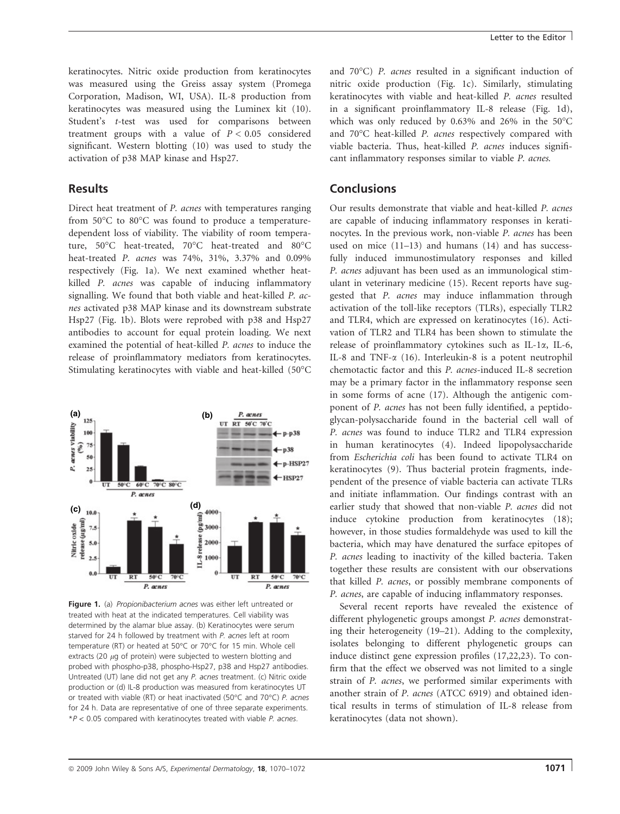keratinocytes. Nitric oxide production from keratinocytes was measured using the Greiss assay system (Promega Corporation, Madison, WI, USA). IL-8 production from keratinocytes was measured using the Luminex kit (10). Student's *t*-test was used for comparisons between treatment groups with a value of  $P < 0.05$  considered significant. Western blotting (10) was used to study the activation of p38 MAP kinase and Hsp27.

### Results

Direct heat treatment of *P. acnes* with temperatures ranging from 50°C to 80°C was found to produce a temperaturedependent loss of viability. The viability of room temperature, 50°C heat-treated, 70°C heat-treated and 80°C heat-treated *P. acnes* was 74%, 31%, 3.37% and 0.09% respectively (Fig. 1a). We next examined whether heatkilled *P. acnes* was capable of inducing inflammatory signalling. We found that both viable and heat-killed *P. acnes* activated p38 MAP kinase and its downstream substrate Hsp27 (Fig. 1b). Blots were reprobed with p38 and Hsp27 antibodies to account for equal protein loading. We next examined the potential of heat-killed *P. acnes* to induce the release of proinflammatory mediators from keratinocytes. Stimulating keratinocytes with viable and heat-killed (50°C



Figure 1. (a) Propionibacterium acnes was either left untreated or treated with heat at the indicated temperatures. Cell viability was determined by the alamar blue assay. (b) Keratinocytes were serum starved for 24 h followed by treatment with P. acnes left at room temperature (RT) or heated at 50°C or 70°C for 15 min. Whole cell extracts (20  $\mu$ g of protein) were subjected to western blotting and probed with phospho-p38, phospho-Hsp27, p38 and Hsp27 antibodies. Untreated (UT) lane did not get any P. acnes treatment. (c) Nitric oxide production or (d) IL-8 production was measured from keratinocytes UT or treated with viable (RT) or heat inactivated (50°C and 70°C) P. acnes for 24 h. Data are representative of one of three separate experiments.  $*P < 0.05$  compared with keratinocytes treated with viable P. acnes.

and 70°C) P. acnes resulted in a significant induction of nitric oxide production (Fig. 1c). Similarly, stimulating keratinocytes with viable and heat-killed *P. acnes* resulted in a significant proinflammatory IL-8 release (Fig. 1d), which was only reduced by  $0.63\%$  and  $26\%$  in the  $50^{\circ}$ C and 70°C heat-killed *P. acnes* respectively compared with viable bacteria. Thus, heat-killed *P. acnes* induces significant inflammatory responses similar to viable *P. acnes.*

#### Conclusions

Our results demonstrate that viable and heat-killed *P. acnes* are capable of inducing inflammatory responses in keratinocytes. In the previous work, non-viable *P. acnes* has been used on mice (11–13) and humans (14) and has successfully induced immunostimulatory responses and killed *P. acnes* adjuvant has been used as an immunological stimulant in veterinary medicine (15). Recent reports have suggested that *P. acnes* may induce inflammation through activation of the toll-like receptors (TLRs), especially TLR2 and TLR4, which are expressed on keratinocytes (16). Activation of TLR2 and TLR4 has been shown to stimulate the release of proinflammatory cytokines such as IL-1a, IL-6, IL-8 and TNF- $\alpha$  (16). Interleukin-8 is a potent neutrophil chemotactic factor and this *P. acnes*-induced IL-8 secretion may be a primary factor in the inflammatory response seen in some forms of acne (17). Although the antigenic component of *P. acnes* has not been fully identified, a peptidoglycan-polysaccharide found in the bacterial cell wall of *P. acnes* was found to induce TLR2 and TLR4 expression in human keratinocytes (4). Indeed lipopolysaccharide from *Escherichia coli* has been found to activate TLR4 on keratinocytes (9). Thus bacterial protein fragments, independent of the presence of viable bacteria can activate TLRs and initiate inflammation. Our findings contrast with an earlier study that showed that non-viable *P. acnes* did not induce cytokine production from keratinocytes (18); however, in those studies formaldehyde was used to kill the bacteria, which may have denatured the surface epitopes of *P. acnes* leading to inactivity of the killed bacteria. Taken together these results are consistent with our observations that killed *P. acnes*, or possibly membrane components of *P. acnes*, are capable of inducing inflammatory responses.

Several recent reports have revealed the existence of different phylogenetic groups amongst *P. acnes* demonstrating their heterogeneity (19–21). Adding to the complexity, isolates belonging to different phylogenetic groups can induce distinct gene expression profiles (17,22,23). To confirm that the effect we observed was not limited to a single strain of *P. acnes*, we performed similar experiments with another strain of *P. acnes* (ATCC 6919) and obtained identical results in terms of stimulation of IL-8 release from keratinocytes (data not shown).